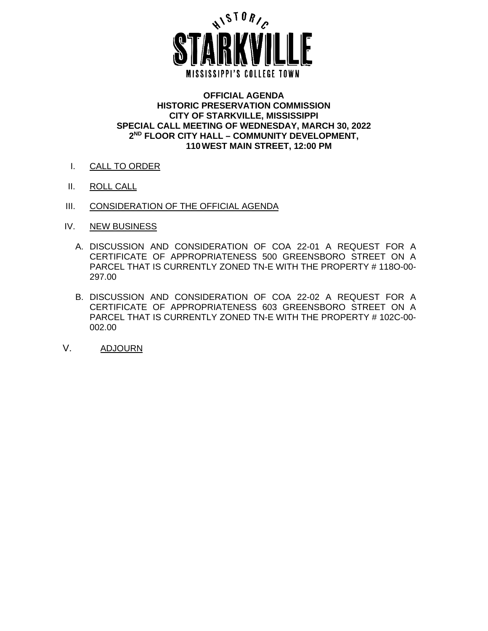

#### **OFFICIAL AGENDA HISTORIC PRESERVATION COMMISSION CITY OF STARKVILLE, MISSISSIPPI SPECIAL CALL MEETING OF WEDNESDAY, MARCH 30, 2022 2ND FLOOR CITY HALL – COMMUNITY DEVELOPMENT, 110WEST MAIN STREET, 12:00 PM**

- I. CALL TO ORDER
- II. ROLL CALL
- III. CONSIDERATION OF THE OFFICIAL AGENDA
- IV. NEW BUSINESS
	- A. DISCUSSION AND CONSIDERATION OF COA 22-01 A REQUEST FOR A CERTIFICATE OF APPROPRIATENESS 500 GREENSBORO STREET ON A PARCEL THAT IS CURRENTLY ZONED TN-E WITH THE PROPERTY # 118O-00- 297.00
	- B. DISCUSSION AND CONSIDERATION OF COA 22-02 A REQUEST FOR A CERTIFICATE OF APPROPRIATENESS 603 GREENSBORO STREET ON A PARCEL THAT IS CURRENTLY ZONED TN-E WITH THE PROPERTY # 102C-00- 002.00
- V. ADJOURN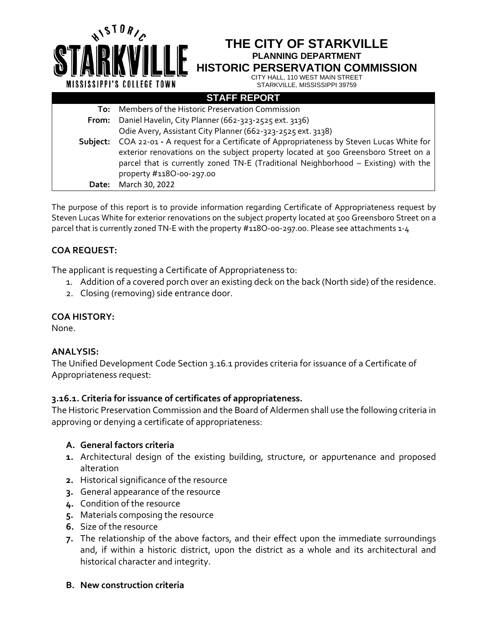|          | THE CITY OF STARKVILLE<br><b>PLANNING DEPARTMENT</b><br><b>HISTORIC PERSERVATION COMMISSION</b><br>CITY HALL, 110 WEST MAIN STREET<br><b>MISSISSIPPI'S COLLEGE TOWN</b><br>STARKVILLE, MISSISSIPPI 39759 |
|----------|----------------------------------------------------------------------------------------------------------------------------------------------------------------------------------------------------------|
|          | <b>STAFF REPORT</b>                                                                                                                                                                                      |
| To:      | Members of the Historic Preservation Commission                                                                                                                                                          |
| From:    | Daniel Havelin, City Planner (662-323-2525 ext. 3136)                                                                                                                                                    |
|          | Odie Avery, Assistant City Planner (662-323-2525 ext. 3138)                                                                                                                                              |
| Subject: | COA 22-01 - A request for a Certificate of Appropriateness by Steven Lucas White for                                                                                                                     |
|          | exterior renovations on the subject property located at 500 Greensboro Street on a                                                                                                                       |
|          | parcel that is currently zoned TN-E (Traditional Neighborhood – Existing) with the                                                                                                                       |
|          | property #118O-00-297.00                                                                                                                                                                                 |
| Date:    | March 30, 2022                                                                                                                                                                                           |

The purpose of this report is to provide information regarding Certificate of Appropriateness request by Steven Lucas White for exterior renovations on the subject property located at 500 Greensboro Street on a parcel that is currently zoned TN-E with the property #118O-00-297.00. Please see attachments 1-4

# **COA REQUEST:**

The applicant is requesting a Certificate of Appropriateness to:

- 1. Addition of a covered porch over an existing deck on the back (North side) of the residence.
- 2. Closing (removing) side entrance door.

# **COA HISTORY:**

None.

# **ANALYSIS:**

The Unified Development Code Section 3.16.1 provides criteria for issuance of a Certificate of Appropriateness request:

# **3.16.1. Criteria for issuance of certificates of appropriateness.**

The Historic Preservation Commission and the Board of Aldermen shall use the following criteria in approving or denying a certificate of appropriateness:

# **A. General factors criteria**

- **1.** Architectural design of the existing building, structure, or appurtenance and proposed alteration
- **2.** Historical significance of the resource
- **3.** General appearance of the resource
- **4.** Condition of the resource
- **5.** Materials composing the resource
- **6.** Size of the resource
- **7.** The relationship of the above factors, and their effect upon the immediate surroundings and, if within a historic district, upon the district as a whole and its architectural and historical character and integrity.

### **B. New construction criteria**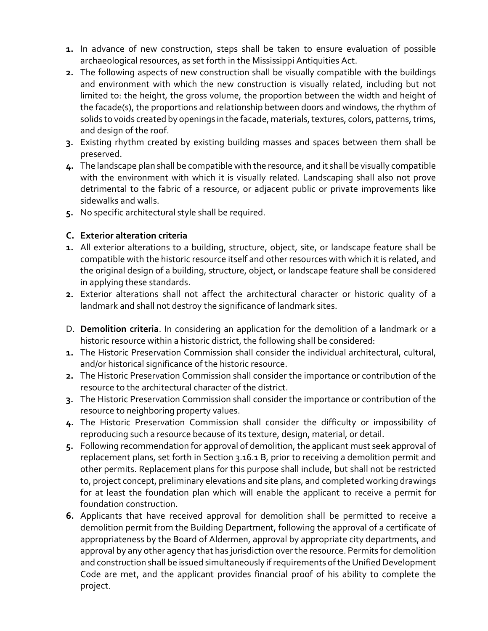- **1.** In advance of new construction, steps shall be taken to ensure evaluation of possible archaeological resources, as set forth in the Mississippi Antiquities Act.
- **2.** The following aspects of new construction shall be visually compatible with the buildings and environment with which the new construction is visually related, including but not limited to: the height, the gross volume, the proportion between the width and height of the facade(s), the proportions and relationship between doors and windows, the rhythm of solids to voids created by openings in the facade, materials, textures, colors, patterns, trims, and design of the roof.
- **3.** Existing rhythm created by existing building masses and spaces between them shall be preserved.
- **4.** The landscape plan shall be compatible with the resource, and it shall be visually compatible with the environment with which it is visually related. Landscaping shall also not prove detrimental to the fabric of a resource, or adjacent public or private improvements like sidewalks and walls.
- **5.** No specific architectural style shall be required.

## **C. Exterior alteration criteria**

- **1.** All exterior alterations to a building, structure, object, site, or landscape feature shall be compatible with the historic resource itself and other resources with which it is related, and the original design of a building, structure, object, or landscape feature shall be considered in applying these standards.
- **2.** Exterior alterations shall not affect the architectural character or historic quality of a landmark and shall not destroy the significance of landmark sites.
- D. **Demolition criteria**. In considering an application for the demolition of a landmark or a historic resource within a historic district, the following shall be considered:
- **1.** The Historic Preservation Commission shall consider the individual architectural, cultural, and/or historical significance of the historic resource.
- **2.** The Historic Preservation Commission shall consider the importance or contribution of the resource to the architectural character of the district.
- **3.** The Historic Preservation Commission shall consider the importance or contribution of the resource to neighboring property values.
- **4.** The Historic Preservation Commission shall consider the difficulty or impossibility of reproducing such a resource because of its texture, design, material, or detail.
- **5.** Following recommendation for approval of demolition, the applicant must seek approval of replacement plans, set forth in Section 3.16.1 B, prior to receiving a demolition permit and other permits. Replacement plans for this purpose shall include, but shall not be restricted to, project concept, preliminary elevations and site plans, and completed working drawings for at least the foundation plan which will enable the applicant to receive a permit for foundation construction.
- **6.** Applicants that have received approval for demolition shall be permitted to receive a demolition permit from the Building Department, following the approval of a certificate of appropriateness by the Board of Aldermen, approval by appropriate city departments, and approval by any other agency that has jurisdiction over the resource. Permits for demolition and construction shall be issued simultaneously if requirements of the Unified Development Code are met, and the applicant provides financial proof of his ability to complete the project.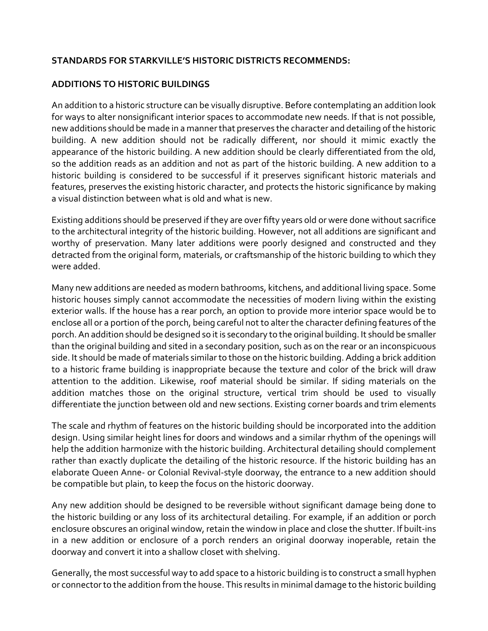# **STANDARDS FOR STARKVILLE'S HISTORIC DISTRICTS RECOMMENDS:**

### **ADDITIONS TO HISTORIC BUILDINGS**

An addition to a historic structure can be visually disruptive. Before contemplating an addition look for ways to alter nonsignificant interior spaces to accommodate new needs. If that is not possible, new additions should be made in a manner that preserves the character and detailing of the historic building. A new addition should not be radically different, nor should it mimic exactly the appearance of the historic building. A new addition should be clearly differentiated from the old, so the addition reads as an addition and not as part of the historic building. A new addition to a historic building is considered to be successful if it preserves significant historic materials and features, preserves the existing historic character, and protects the historic significance by making a visual distinction between what is old and what is new.

Existing additions should be preserved if they are over fifty years old or were done without sacrifice to the architectural integrity of the historic building. However, not all additions are significant and worthy of preservation. Many later additions were poorly designed and constructed and they detracted from the original form, materials, or craftsmanship of the historic building to which they were added.

Many new additions are needed as modern bathrooms, kitchens, and additional living space. Some historic houses simply cannot accommodate the necessities of modern living within the existing exterior walls. If the house has a rear porch, an option to provide more interior space would be to enclose all or a portion of the porch, being careful not to alter the character defining features of the porch.An addition should be designed so it is secondary to the original building. It should be smaller than the original building and sited in a secondary position, such as on the rear or an inconspicuous side. It should be made of materials similar to those on the historic building. Adding a brick addition to a historic frame building is inappropriate because the texture and color of the brick will draw attention to the addition. Likewise, roof material should be similar. If siding materials on the addition matches those on the original structure, vertical trim should be used to visually differentiate the junction between old and new sections. Existing corner boards and trim elements

The scale and rhythm of features on the historic building should be incorporated into the addition design. Using similar height lines for doors and windows and a similar rhythm of the openings will help the addition harmonize with the historic building. Architectural detailing should complement rather than exactly duplicate the detailing of the historic resource. If the historic building has an elaborate Queen Anne- or Colonial Revival-style doorway, the entrance to a new addition should be compatible but plain, to keep the focus on the historic doorway.

Any new addition should be designed to be reversible without significant damage being done to the historic building or any loss of its architectural detailing. For example, if an addition or porch enclosure obscures an original window, retain the window in place and close the shutter. If built-ins in a new addition or enclosure of a porch renders an original doorway inoperable, retain the doorway and convert it into a shallow closet with shelving.

Generally, the most successful way to add space to a historic building is to construct a small hyphen or connector to the addition from the house. This results in minimal damage to the historic building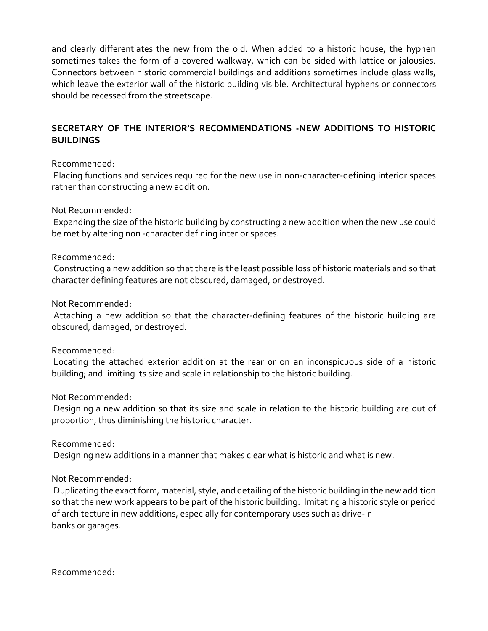and clearly differentiates the new from the old. When added to a historic house, the hyphen sometimes takes the form of a covered walkway, which can be sided with lattice or jalousies. Connectors between historic commercial buildings and additions sometimes include glass walls, which leave the exterior wall of the historic building visible. Architectural hyphens or connectors should be recessed from the streetscape.

# **SECRETARY OF THE INTERIOR'S RECOMMENDATIONS -NEW ADDITIONS TO HISTORIC BUILDINGS**

### Recommended:

Placing functions and services required for the new use in non-character-defining interior spaces rather than constructing a new addition.

### Not Recommended:

Expanding the size of the historic building by constructing a new addition when the new use could be met by altering non -character defining interior spaces.

## Recommended:

Constructing a new addition so that there is the least possible loss of historic materials and so that character defining features are not obscured, damaged, or destroyed.

Not Recommended:

Attaching a new addition so that the character-defining features of the historic building are obscured, damaged, or destroyed.

### Recommended:

Locating the attached exterior addition at the rear or on an inconspicuous side of a historic building; and limiting its size and scale in relationship to the historic building.

### Not Recommended:

Designing a new addition so that its size and scale in relation to the historic building are out of proportion, thus diminishing the historic character.

Recommended:

Designing new additions in a manner that makes clear what is historic and what is new.

Not Recommended:

Duplicating the exact form, material, style, and detailing of the historic building in the new addition so that the new work appears to be part of the historic building. Imitating a historic style or period of architecture in new additions, especially for contemporary uses such as drive-in banks or garages.

Recommended: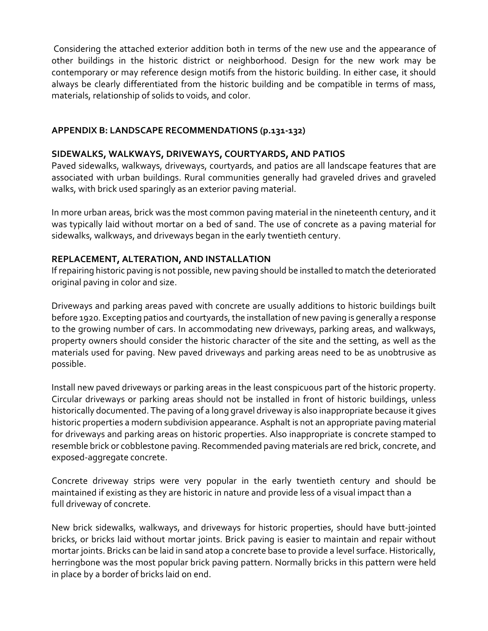Considering the attached exterior addition both in terms of the new use and the appearance of other buildings in the historic district or neighborhood. Design for the new work may be contemporary or may reference design motifs from the historic building. In either case, it should always be clearly differentiated from the historic building and be compatible in terms of mass, materials, relationship of solids to voids, and color.

## **APPENDIX B: LANDSCAPE RECOMMENDATIONS (p.131-132)**

## **SIDEWALKS, WALKWAYS, DRIVEWAYS, COURTYARDS, AND PATIOS**

Paved sidewalks, walkways, driveways, courtyards, and patios are all landscape features that are associated with urban buildings. Rural communities generally had graveled drives and graveled walks, with brick used sparingly as an exterior paving material.

In more urban areas, brick was the most common paving material in the nineteenth century, and it was typically laid without mortar on a bed of sand. The use of concrete as a paving material for sidewalks, walkways, and driveways began in the early twentieth century.

## **REPLACEMENT, ALTERATION, AND INSTALLATION**

If repairing historic paving is not possible, new paving should be installed to match the deteriorated original paving in color and size.

Driveways and parking areas paved with concrete are usually additions to historic buildings built before 1920. Excepting patios and courtyards, the installation of new paving is generally a response to the growing number of cars. In accommodating new driveways, parking areas, and walkways, property owners should consider the historic character of the site and the setting, as well as the materials used for paving. New paved driveways and parking areas need to be as unobtrusive as possible.

Install new paved driveways or parking areas in the least conspicuous part of the historic property. Circular driveways or parking areas should not be installed in front of historic buildings, unless historically documented. The paving of a long gravel driveway is also inappropriate because it gives historic properties a modern subdivision appearance. Asphalt is not an appropriate paving material for driveways and parking areas on historic properties. Also inappropriate is concrete stamped to resemble brick or cobblestone paving. Recommended paving materials are red brick, concrete, and exposed-aggregate concrete.

Concrete driveway strips were very popular in the early twentieth century and should be maintained if existing as they are historic in nature and provide less of a visual impact than a full driveway of concrete.

New brick sidewalks, walkways, and driveways for historic properties, should have butt-jointed bricks, or bricks laid without mortar joints. Brick paving is easier to maintain and repair without mortar joints. Bricks can be laid in sand atop a concrete base to provide a level surface. Historically, herringbone was the most popular brick paving pattern. Normally bricks in this pattern were held in place by a border of bricks laid on end.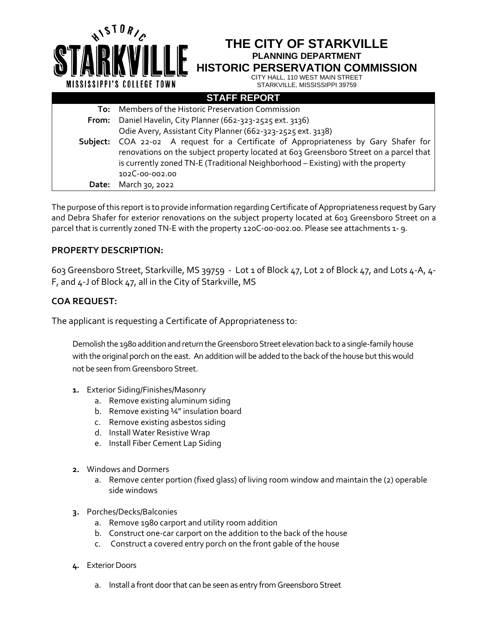|          | THE CITY OF STARKVILLE<br><b>PLANNING DEPARTMENT</b><br><b>HISTORIC PERSERVATION COMMISSION</b><br>CITY HALL, 110 WEST MAIN STREET<br><b>MISSISSIPPI'S COLLEGE TOWN</b><br>STARKVILLE, MISSISSIPPI 39759                                                |
|----------|---------------------------------------------------------------------------------------------------------------------------------------------------------------------------------------------------------------------------------------------------------|
|          | <b>STAFF REPORT</b>                                                                                                                                                                                                                                     |
| To:      | Members of the Historic Preservation Commission                                                                                                                                                                                                         |
| From:    | Daniel Havelin, City Planner (662-323-2525 ext. 3136)                                                                                                                                                                                                   |
|          | Odie Avery, Assistant City Planner (662-323-2525 ext. 3138)                                                                                                                                                                                             |
| Subject: | COA 22-02 A request for a Certificate of Appropriateness by Gary Shafer for<br>renovations on the subject property located at 603 Greensboro Street on a parcel that<br>is currently zoned TN-E (Traditional Neighborhood - Existing) with the property |
|          | 102 C-00-002.00                                                                                                                                                                                                                                         |
| Date:    | March 30, 2022                                                                                                                                                                                                                                          |

The purpose of this report is to provide information regarding Certificate of Appropriateness request by Gary and Debra Shafer for exterior renovations on the subject property located at 603 Greensboro Street on a parcel that is currently zoned TN-E with the property 120C-00-002.00. Please see attachments 1- 9.

### **PROPERTY DESCRIPTION:**

603 Greensboro Street, Starkville, MS 39759 - Lot 1 of Block 47, Lot 2 of Block 47, and Lots 4-A, 4- F, and 4-J of Block 47, all in the City of Starkville, MS

# **COA REQUEST:**

The applicant is requesting a Certificate of Appropriateness to:

Demolish the 1980 addition and return the Greensboro Street elevation back to a single-family house with the original porch on the east. An addition will be added to the back of the house but this would not be seen from Greensboro Street.

- **1.** Exterior Siding/Finishes/Masonry
	- a. Remove existing aluminum siding
	- b. Remove existing ¼" insulation board
	- c. Remove existing asbestos siding
	- d. Install Water Resistive Wrap
	- e. Install Fiber Cement Lap Siding
- **2.** Windows and Dormers
	- a. Remove center portion (fixed glass) of living room window and maintain the (2) operable side windows
- **3.** Porches/Decks/Balconies
	- a. Remove 1980 carport and utility room addition
	- b. Construct one-car carport on the addition to the back of the house
	- c. Construct a covered entry porch on the front gable of the house
- **4.** Exterior Doors
	- a. Install a front door that can be seen as entry from Greensboro Street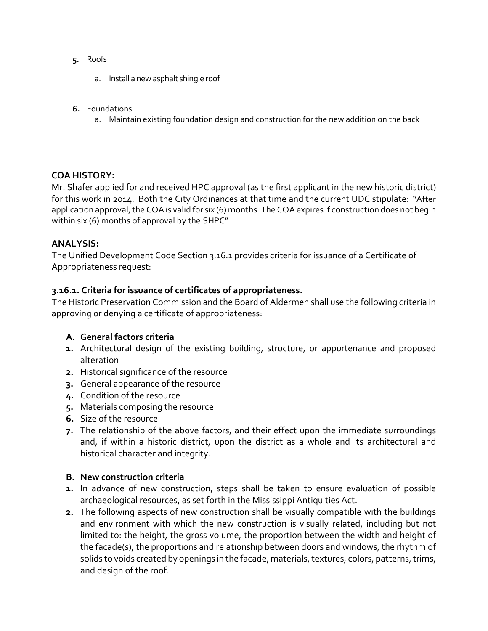- **5.** Roofs
	- a. Install a new asphalt shingle roof
- **6.** Foundations
	- a. Maintain existing foundation design and construction for the new addition on the back

### **COA HISTORY:**

Mr. Shafer applied for and received HPC approval (as the first applicant in the new historic district) for this work in 2014. Both the City Ordinances at that time and the current UDC stipulate: "After application approval, the COA is valid for six (6) months. The COA expires if construction does not begin within six (6) months of approval by the SHPC".

### **ANALYSIS:**

The Unified Development Code Section 3.16.1 provides criteria for issuance of a Certificate of Appropriateness request:

### **3.16.1. Criteria for issuance of certificates of appropriateness.**

The Historic Preservation Commission and the Board of Aldermen shall use the following criteria in approving or denying a certificate of appropriateness:

# **A. General factors criteria**

- **1.** Architectural design of the existing building, structure, or appurtenance and proposed alteration
- **2.** Historical significance of the resource
- **3.** General appearance of the resource
- **4.** Condition of the resource
- **5.** Materials composing the resource
- **6.** Size of the resource
- **7.** The relationship of the above factors, and their effect upon the immediate surroundings and, if within a historic district, upon the district as a whole and its architectural and historical character and integrity.

### **B. New construction criteria**

- **1.** In advance of new construction, steps shall be taken to ensure evaluation of possible archaeological resources, as set forth in the Mississippi Antiquities Act.
- **2.** The following aspects of new construction shall be visually compatible with the buildings and environment with which the new construction is visually related, including but not limited to: the height, the gross volume, the proportion between the width and height of the facade(s), the proportions and relationship between doors and windows, the rhythm of solids to voids created by openings in the facade, materials, textures, colors, patterns, trims, and design of the roof.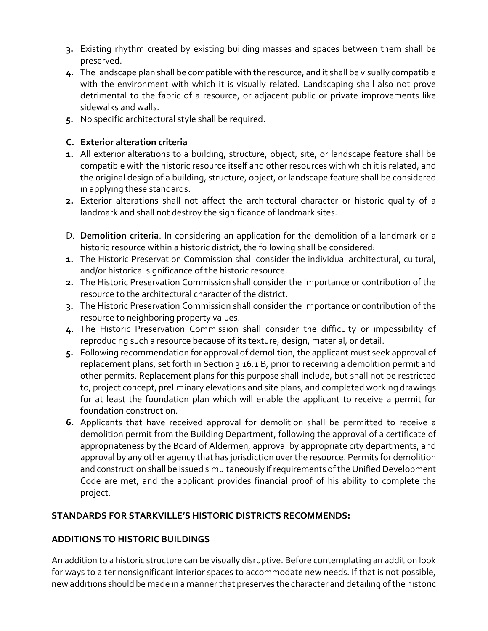- **3.** Existing rhythm created by existing building masses and spaces between them shall be preserved.
- **4.** The landscape plan shall be compatible with the resource, and it shall be visually compatible with the environment with which it is visually related. Landscaping shall also not prove detrimental to the fabric of a resource, or adjacent public or private improvements like sidewalks and walls.
- **5.** No specific architectural style shall be required.

# **C. Exterior alteration criteria**

- **1.** All exterior alterations to a building, structure, object, site, or landscape feature shall be compatible with the historic resource itself and other resources with which it is related, and the original design of a building, structure, object, or landscape feature shall be considered in applying these standards.
- **2.** Exterior alterations shall not affect the architectural character or historic quality of a landmark and shall not destroy the significance of landmark sites.
- D. **Demolition criteria**. In considering an application for the demolition of a landmark or a historic resource within a historic district, the following shall be considered:
- **1.** The Historic Preservation Commission shall consider the individual architectural, cultural, and/or historical significance of the historic resource.
- **2.** The Historic Preservation Commission shall consider the importance or contribution of the resource to the architectural character of the district.
- **3.** The Historic Preservation Commission shall consider the importance or contribution of the resource to neighboring property values.
- **4.** The Historic Preservation Commission shall consider the difficulty or impossibility of reproducing such a resource because of its texture, design, material, or detail.
- **5.** Following recommendation for approval of demolition, the applicant must seek approval of replacement plans, set forth in Section 3.16.1 B, prior to receiving a demolition permit and other permits. Replacement plans for this purpose shall include, but shall not be restricted to, project concept, preliminary elevations and site plans, and completed working drawings for at least the foundation plan which will enable the applicant to receive a permit for foundation construction.
- **6.** Applicants that have received approval for demolition shall be permitted to receive a demolition permit from the Building Department, following the approval of a certificate of appropriateness by the Board of Aldermen, approval by appropriate city departments, and approval by any other agency that has jurisdiction over the resource. Permits for demolition and construction shall be issued simultaneously if requirements of the Unified Development Code are met, and the applicant provides financial proof of his ability to complete the project.

# **STANDARDS FOR STARKVILLE'S HISTORIC DISTRICTS RECOMMENDS:**

# **ADDITIONS TO HISTORIC BUILDINGS**

An addition to a historic structure can be visually disruptive. Before contemplating an addition look for ways to alter nonsignificant interior spaces to accommodate new needs. If that is not possible, new additions should be made in a manner that preserves the character and detailing of the historic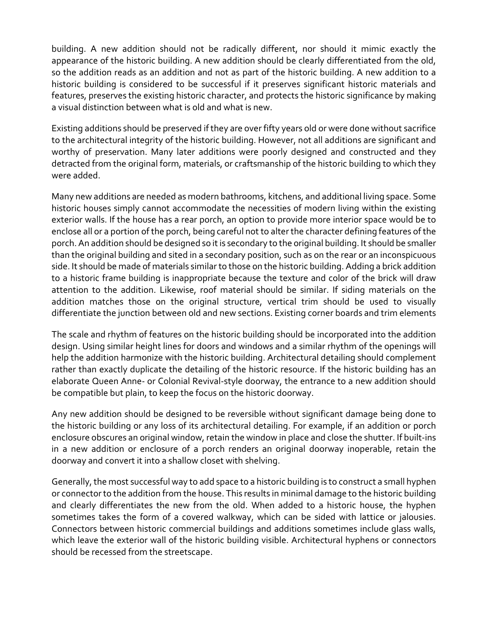building. A new addition should not be radically different, nor should it mimic exactly the appearance of the historic building. A new addition should be clearly differentiated from the old, so the addition reads as an addition and not as part of the historic building. A new addition to a historic building is considered to be successful if it preserves significant historic materials and features, preserves the existing historic character, and protects the historic significance by making a visual distinction between what is old and what is new.

Existing additions should be preserved if they are over fifty years old or were done without sacrifice to the architectural integrity of the historic building. However, not all additions are significant and worthy of preservation. Many later additions were poorly designed and constructed and they detracted from the original form, materials, or craftsmanship of the historic building to which they were added.

Many new additions are needed as modern bathrooms, kitchens, and additional living space. Some historic houses simply cannot accommodate the necessities of modern living within the existing exterior walls. If the house has a rear porch, an option to provide more interior space would be to enclose all or a portion of the porch, being careful not to alter the character defining features of the porch.An addition should be designed so it is secondary to the original building. It should be smaller than the original building and sited in a secondary position, such as on the rear or an inconspicuous side. It should be made of materials similar to those on the historic building. Adding a brick addition to a historic frame building is inappropriate because the texture and color of the brick will draw attention to the addition. Likewise, roof material should be similar. If siding materials on the addition matches those on the original structure, vertical trim should be used to visually differentiate the junction between old and new sections. Existing corner boards and trim elements

The scale and rhythm of features on the historic building should be incorporated into the addition design. Using similar height lines for doors and windows and a similar rhythm of the openings will help the addition harmonize with the historic building. Architectural detailing should complement rather than exactly duplicate the detailing of the historic resource. If the historic building has an elaborate Queen Anne- or Colonial Revival-style doorway, the entrance to a new addition should be compatible but plain, to keep the focus on the historic doorway.

Any new addition should be designed to be reversible without significant damage being done to the historic building or any loss of its architectural detailing. For example, if an addition or porch enclosure obscures an original window, retain the window in place and close the shutter. If built-ins in a new addition or enclosure of a porch renders an original doorway inoperable, retain the doorway and convert it into a shallow closet with shelving.

Generally, the most successful way to add space to a historic building is to construct a small hyphen or connector to the addition from the house. This results in minimal damage to the historic building and clearly differentiates the new from the old. When added to a historic house, the hyphen sometimes takes the form of a covered walkway, which can be sided with lattice or jalousies. Connectors between historic commercial buildings and additions sometimes include glass walls, which leave the exterior wall of the historic building visible. Architectural hyphens or connectors should be recessed from the streetscape.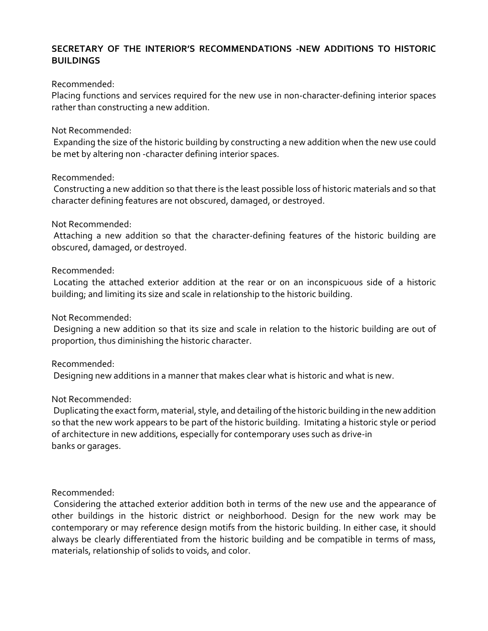## **SECRETARY OF THE INTERIOR'S RECOMMENDATIONS -NEW ADDITIONS TO HISTORIC BUILDINGS**

#### Recommended:

Placing functions and services required for the new use in non-character-defining interior spaces rather than constructing a new addition.

#### Not Recommended:

Expanding the size of the historic building by constructing a new addition when the new use could be met by altering non -character defining interior spaces.

#### Recommended:

Constructing a new addition so that there is the least possible loss of historic materials and so that character defining features are not obscured, damaged, or destroyed.

#### Not Recommended:

Attaching a new addition so that the character-defining features of the historic building are obscured, damaged, or destroyed.

#### Recommended:

Locating the attached exterior addition at the rear or on an inconspicuous side of a historic building; and limiting its size and scale in relationship to the historic building.

#### Not Recommended:

Designing a new addition so that its size and scale in relation to the historic building are out of proportion, thus diminishing the historic character.

### Recommended:

Designing new additions in a manner that makes clear what is historic and what is new.

#### Not Recommended:

Duplicating the exact form, material, style, and detailing of the historic building in the new addition so that the new work appears to be part of the historic building. Imitating a historic style or period of architecture in new additions, especially for contemporary uses such as drive-in banks or garages.

### Recommended:

Considering the attached exterior addition both in terms of the new use and the appearance of other buildings in the historic district or neighborhood. Design for the new work may be contemporary or may reference design motifs from the historic building. In either case, it should always be clearly differentiated from the historic building and be compatible in terms of mass, materials, relationship of solids to voids, and color.